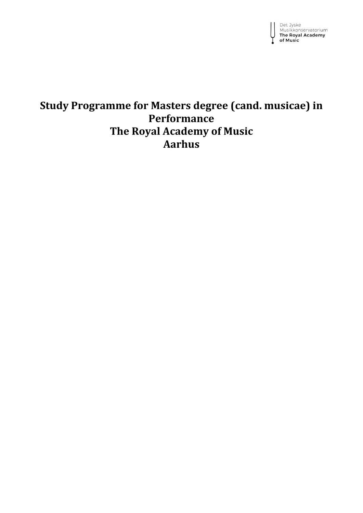

# **Study Programme for Masters degree (cand. musicae) in Performance The Royal Academy of Music Aarhus**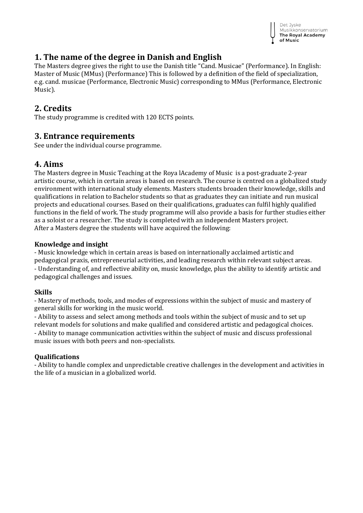

## **1. The name of the degree in Danish and English**

The Masters degree gives the right to use the Danish title "Cand. Musicae" (Performance). In English: Master of Music (MMus) (Performance) This is followed by a definition of the field of specialization, e.g. cand. musicae (Performance, Electronic Music) corresponding to MMus (Performance, Electronic Music).

## **2. Credits**

The study programme is credited with 120 ECTS points.

### **3. Entrance requirements**

See under the individual course programme.

## **4. Aims**

The Masters degree in Music Teaching at the Roya lAcademy of Music is a post-graduate 2-year artistic course, which in certain areas is based on research. The course is centred on a globalized study environment with international study elements. Masters students broaden their knowledge, skills and qualifications in relation to Bachelor students so that as graduates they can initiate and run musical projects and educational courses. Based on their qualifications, graduates can fulfil highly qualified functions in the field of work. The study programme will also provide a basis for further studies either as a soloist or a researcher. The study is completed with an independent Masters project. After a Masters degree the students will have acquired the following:

#### **Knowledge and insight**

- Music knowledge which in certain areas is based on internationally acclaimed artistic and pedagogical praxis, entrepreneurial activities, and leading research within relevant subject areas. - Understanding of, and reflective ability on, music knowledge, plus the ability to identify artistic and pedagogical challenges and issues.

#### **Skills**

- Mastery of methods, tools, and modes of expressions within the subject of music and mastery of general skills for working in the music world.

- Ability to assess and select among methods and tools within the subject of music and to set up relevant models for solutions and make qualified and considered artistic and pedagogical choices. - Ability to manage communication activities within the subject of music and discuss professional music issues with both peers and non-specialists.

#### **Qualifications**

- Ability to handle complex and unpredictable creative challenges in the development and activities in the life of a musician in a globalized world.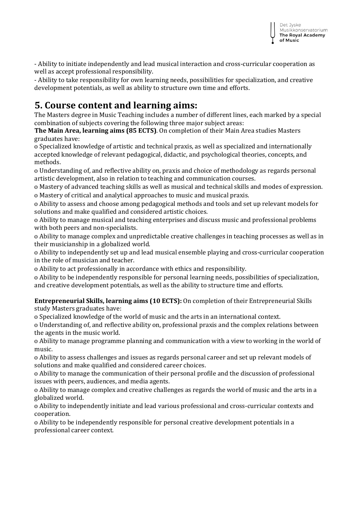- Ability to initiate independently and lead musical interaction and cross-curricular cooperation as well as accept professional responsibility.

- Ability to take responsibility for own learning needs, possibilities for specialization, and creative development potentials, as well as ability to structure own time and efforts.

# **5. Course content and learning aims:**

The Masters degree in Music Teaching includes a number of different lines, each marked by a special combination of subjects covering the following three major subject areas:

**The Main Area, learning aims (85 ECTS)**. On completion of their Main Area studies Masters graduates have:

o Specialized knowledge of artistic and technical praxis, as well as specialized and internationally accepted knowledge of relevant pedagogical, didactic, and psychological theories, concepts, and methods.

o Understanding of, and reflective ability on, praxis and choice of methodology as regards personal artistic development, also in relation to teaching and communication courses.

o Mastery of advanced teaching skills as well as musical and technical skills and modes of expression. o Mastery of critical and analytical approaches to music and musical praxis.

o Ability to assess and choose among pedagogical methods and tools and set up relevant models for solutions and make qualified and considered artistic choices.

o Ability to manage musical and teaching enterprises and discuss music and professional problems with both peers and non-specialists.

o Ability to manage complex and unpredictable creative challenges in teaching processes as well as in their musicianship in a globalized world.

o Ability to independently set up and lead musical ensemble playing and cross-curricular cooperation in the role of musician and teacher.

o Ability to act professionally in accordance with ethics and responsibility.

o Ability to be independently responsible for personal learning needs, possibilities of specialization, and creative development potentials, as well as the ability to structure time and efforts.

#### **Entrepreneurial Skills, learning aims (10 ECTS):** On completion of their Entrepreneurial Skills study Masters graduates have:

o Specialized knowledge of the world of music and the arts in an international context.

o Understanding of, and reflective ability on, professional praxis and the complex relations between the agents in the music world.

o Ability to manage programme planning and communication with a view to working in the world of music.

o Ability to assess challenges and issues as regards personal career and set up relevant models of solutions and make qualified and considered career choices.

o Ability to manage the communication of their personal profile and the discussion of professional issues with peers, audiences, and media agents.

o Ability to manage complex and creative challenges as regards the world of music and the arts in a globalized world.

o Ability to independently initiate and lead various professional and cross-curricular contexts and cooperation.

o Ability to be independently responsible for personal creative development potentials in a professional career context.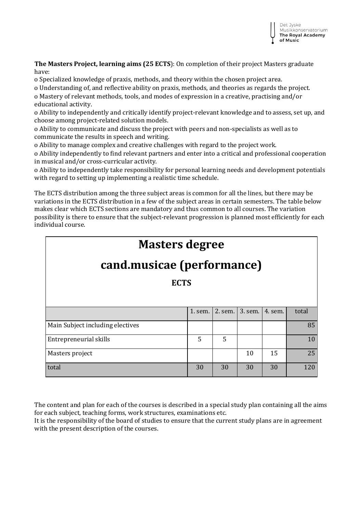

**The Masters Project, learning aims (25 ECTS**): On completion of their project Masters graduate have:

o Specialized knowledge of praxis, methods, and theory within the chosen project area.

o Understanding of, and reflective ability on praxis, methods, and theories as regards the project. o Mastery of relevant methods, tools, and modes of expression in a creative, practising and/or educational activity.

o Ability to independently and critically identify project-relevant knowledge and to assess, set up, and choose among project-related solution models.

o Ability to communicate and discuss the project with peers and non-specialists as well as to communicate the results in speech and writing.

o Ability to manage complex and creative challenges with regard to the project work.

o Ability independently to find relevant partners and enter into a critical and professional cooperation in musical and/or cross-curricular activity.

o Ability to independently take responsibility for personal learning needs and development potentials with regard to setting up implementing a realistic time schedule.

The ECTS distribution among the three subject areas is common for all the lines, but there may be variations in the ECTS distribution in a few of the subject areas in certain semesters. The table below makes clear which ECTS sections are mandatory and thus common to all courses. The variation possibility is there to ensure that the subject-relevant progression is planned most efficiently for each individual course.

# **Masters degree**

# **cand.musicae (performance)**

**ECTS**

|                                  | 1. sem. |    | 2. sem. 3. sem. 4. sem. |    | total |
|----------------------------------|---------|----|-------------------------|----|-------|
| Main Subject including electives |         |    |                         |    | 85    |
| Entrepreneurial skills           | 5       | 5  |                         |    |       |
| Masters project                  |         |    | 10                      | 15 | 25    |
| total                            | 30      | 30 | 30                      | 30 | 120   |

The content and plan for each of the courses is described in a special study plan containing all the aims for each subject, teaching forms, work structures, examinations etc.

It is the responsibility of the board of studies to ensure that the current study plans are in agreement with the present description of the courses.